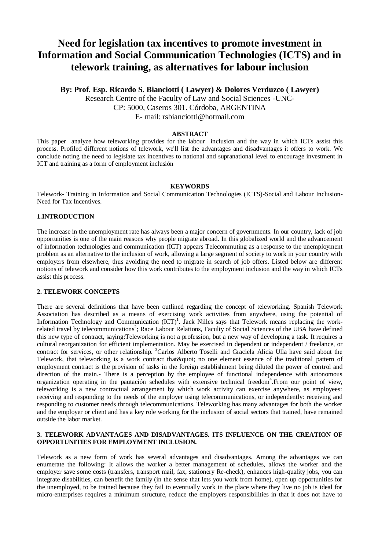# **Need for legislation tax incentives to promote investment in Information and Social Communication Technologies (ICTS) and in telework training, as alternatives for labour inclusion**

**By: Prof. Esp. Ricardo S. Bianciotti ( Lawyer) & Dolores Verduzco ( Lawyer)** Research Centre of the Faculty of Law and Social Sciences -UNC-CP: 5000, Caseros 301. Córdoba, ARGENTINA E- mail: rsbianciotti@hotmail.com

#### **ABSTRACT**

This paper analyze how teleworking provides for the labour inclusion and the way in which ICTs assist this process. Profiled different notions of telework, we'll list the advantages and disadvantages it offers to work. We conclude noting the need to legislate tax incentives to national and supranational level to encourage investment in ICT and training as a form of employment inclusión

#### **KEYWORDS**

Telework- Training in Information and Social Communication Technologies (ICTS)-Social and Labour Inclusion-Need for Tax Incentives.

## **1.INTRODUCTION**

The increase in the unemployment rate has always been a major concern of governments. In our country, lack of job opportunities is one of the main reasons why people migrate abroad. In this globalized world and the advancement of information technologies and communication (ICT) appears Telecommuting as a response to the unemployment problem as an alternative to the inclusion of work, allowing a large segment of society to work in your country with employers from elsewhere, thus avoiding the need to migrate in search of job offers. Listed below are different notions of telework and consider how this work contributes to the employment inclusion and the way in which ICTs assist this process.

### **2. TELEWORK CONCEPTS**

There are several definitions that have been outlined regarding the concept of teleworking. Spanish Telework Association has described as a means of exercising work activities from anywhere, using the potential of Information Technology and Communication  $(ICT)^1$ . Jack Nilles says that Telework means replacing the workrelated travel by telecommunications<sup>2</sup>; Race Labour Relations, Faculty of Social Sciences of the UBA have defined this new type of contract, saying:Teleworking is not a profession, but a new way of developing a task. It requires a cultural reorganization for efficient implementation. May be exercised in dependent or independent / freelance, or contract for services, or other relationship. <sup>3</sup>Carlos Alberto Toselli and Graciela Alicia Ulla have said about the Telework, that teleworking is a work contract that & quot; no one element essence of the traditional pattern of employment contract is the provision of tasks in the foreign establishment being diluted the power of control and direction of the main.- There is a perception by the employee of functional independence with autonomous organization operating in the pautación schedules with extensive technical freedom<sup>4</sup>. From our point of view, teleworking is a new contractual arrangement by which work activity can exercise anywhere, as employees: receiving and responding to the needs of the employer using telecommunications, or independently: receiving and responding to customer needs through telecommunications. Teleworking has many advantages for both the worker and the employer or client and has a key role working for the inclusion of social sectors that trained, have remained outside the labor market.

## **3. TELEWORK ADVANTAGES AND DISADVANTAGES. ITS INFLUENCE ON THE CREATION OF OPPORTUNITIES FOR EMPLOYMENT INCLUSION.**

Telework as a new form of work has several advantages and disadvantages. Among the advantages we can enumerate the following: It allows the worker a better management of schedules, allows the worker and the employer save some costs (transfers, transport mail, fax, stationery Re-check), enhances high-quality jobs, you can integrate disabilities, can benefit the family (in the sense that lets you work from home), open up opportunities for the unemployed, to be trained because they fail to eventually work in the place where they live no job is ideal for micro-enterprises requires a minimum structure, reduce the employers responsibilities in that it does not have to